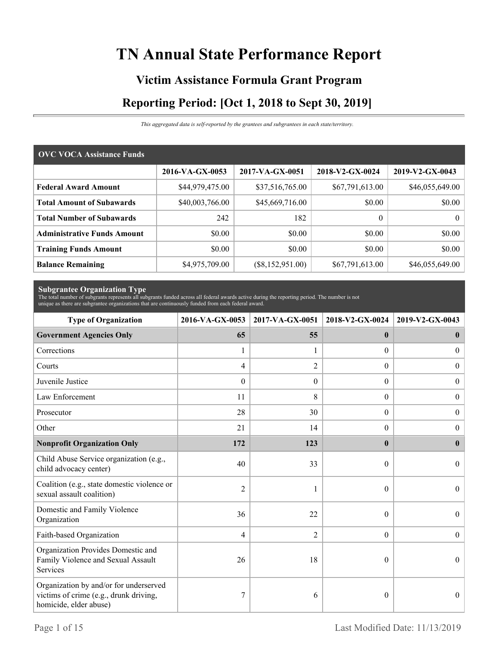# **TN Annual State Performance Report**

# **Victim Assistance Formula Grant Program Reporting Period: [Oct 1, 2018 to Sept 30, 2019]**

*This aggregated data is self-reported by the grantees and subgrantees in each state/territory.*

| <b>OVC VOCA Assistance Funds</b>   |                 |                    |                 |                 |
|------------------------------------|-----------------|--------------------|-----------------|-----------------|
|                                    | 2016-VA-GX-0053 | 2017-VA-GX-0051    | 2018-V2-GX-0024 | 2019-V2-GX-0043 |
| <b>Federal Award Amount</b>        | \$44,979,475.00 | \$37,516,765.00    | \$67,791,613.00 | \$46,055,649.00 |
| <b>Total Amount of Subawards</b>   | \$40,003,766.00 | \$45,669,716.00    | \$0.00          | \$0.00          |
| <b>Total Number of Subawards</b>   | 242             | 182                | $\theta$        | $\theta$        |
| <b>Administrative Funds Amount</b> | \$0.00          | \$0.00             | \$0.00          | \$0.00          |
| <b>Training Funds Amount</b>       | \$0.00          | \$0.00             | \$0.00          | \$0.00          |
| <b>Balance Remaining</b>           | \$4,975,709.00  | $(\$8,152,951.00)$ | \$67,791,613.00 | \$46,055,649.00 |

**Subgrantee Organization Type** The total number of subgrants represents all subgrants funded across all federal awards active during the reporting period. The number is not unique as there are subgrantee organizations that are continuously funded from each federal award.

| <b>Type of Organization</b>                                                                                | 2016-VA-GX-0053  | 2017-VA-GX-0051  | 2018-V2-GX-0024  | 2019-V2-GX-0043  |
|------------------------------------------------------------------------------------------------------------|------------------|------------------|------------------|------------------|
| <b>Government Agencies Only</b>                                                                            | 65               | 55               | $\mathbf{0}$     | $\bf{0}$         |
| Corrections                                                                                                | 1                |                  | $\Omega$         | $\overline{0}$   |
| Courts                                                                                                     | 4                | $\overline{c}$   | $\overline{0}$   | $\overline{0}$   |
| Juvenile Justice                                                                                           | $\boldsymbol{0}$ | $\boldsymbol{0}$ | $\boldsymbol{0}$ | $\overline{0}$   |
| Law Enforcement                                                                                            | 11               | 8                | $\theta$         | $\boldsymbol{0}$ |
| Prosecutor                                                                                                 | 28               | 30               | $\boldsymbol{0}$ | $\boldsymbol{0}$ |
| Other                                                                                                      | 21               | 14               | 0                | $\boldsymbol{0}$ |
| <b>Nonprofit Organization Only</b>                                                                         | 172              | 123              | $\mathbf{0}$     | $\bf{0}$         |
| Child Abuse Service organization (e.g.,<br>child advocacy center)                                          | 40               | 33               | $\theta$         | $\Omega$         |
| Coalition (e.g., state domestic violence or<br>sexual assault coalition)                                   | $\overline{2}$   |                  | $\theta$         | $\theta$         |
| Domestic and Family Violence<br>Organization                                                               | 36               | 22               | $\theta$         | $\overline{0}$   |
| Faith-based Organization                                                                                   | 4                | $\mathfrak{2}$   | $\overline{0}$   | $\boldsymbol{0}$ |
| Organization Provides Domestic and<br>Family Violence and Sexual Assault<br>Services                       | 26               | 18               | $\theta$         | $\theta$         |
| Organization by and/or for underserved<br>victims of crime (e.g., drunk driving,<br>homicide, elder abuse) | 7                | 6                | $\theta$         | $\overline{0}$   |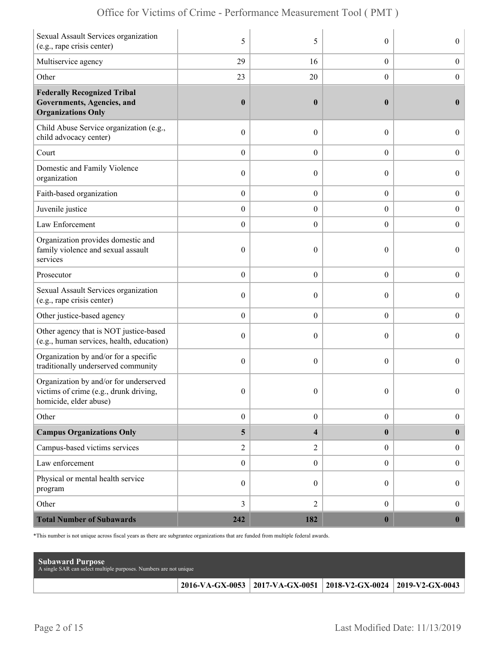|  | Office for Victims of Crime - Performance Measurement Tool (PMT) |  |  |  |  |
|--|------------------------------------------------------------------|--|--|--|--|
|--|------------------------------------------------------------------|--|--|--|--|

| Sexual Assault Services organization<br>(e.g., rape crisis center)                                         | 5                       | 5                       | $\theta$         | $\boldsymbol{0}$ |
|------------------------------------------------------------------------------------------------------------|-------------------------|-------------------------|------------------|------------------|
| Multiservice agency                                                                                        | 29                      | 16                      | $\boldsymbol{0}$ | $\boldsymbol{0}$ |
| Other                                                                                                      | 23                      | 20                      | $\overline{0}$   | $\boldsymbol{0}$ |
| <b>Federally Recognized Tribal</b><br><b>Governments, Agencies, and</b><br><b>Organizations Only</b>       | $\boldsymbol{0}$        | $\boldsymbol{0}$        | $\bf{0}$         | $\bf{0}$         |
| Child Abuse Service organization (e.g.,<br>child advocacy center)                                          | $\boldsymbol{0}$        | $\mathbf{0}$            | $\theta$         | $\overline{0}$   |
| Court                                                                                                      | $\boldsymbol{0}$        | $\theta$                | $\overline{0}$   | $\overline{0}$   |
| Domestic and Family Violence<br>organization                                                               | $\boldsymbol{0}$        | 0                       | $\boldsymbol{0}$ | $\boldsymbol{0}$ |
| Faith-based organization                                                                                   | $\boldsymbol{0}$        | $\boldsymbol{0}$        | $\boldsymbol{0}$ | $\boldsymbol{0}$ |
| Juvenile justice                                                                                           | $\boldsymbol{0}$        | $\overline{0}$          | $\overline{0}$   | $\boldsymbol{0}$ |
| Law Enforcement                                                                                            | $\boldsymbol{0}$        | $\boldsymbol{0}$        | $\boldsymbol{0}$ | $\boldsymbol{0}$ |
| Organization provides domestic and<br>family violence and sexual assault<br>services                       | $\boldsymbol{0}$        | $\mathbf{0}$            | $\theta$         | $\overline{0}$   |
| Prosecutor                                                                                                 | $\boldsymbol{0}$        | $\theta$                | $\boldsymbol{0}$ | $\boldsymbol{0}$ |
| Sexual Assault Services organization<br>(e.g., rape crisis center)                                         | $\boldsymbol{0}$        | $\theta$                | $\theta$         | $\boldsymbol{0}$ |
| Other justice-based agency                                                                                 | $\boldsymbol{0}$        | $\boldsymbol{0}$        | $\boldsymbol{0}$ | $\boldsymbol{0}$ |
| Other agency that is NOT justice-based<br>(e.g., human services, health, education)                        | $\boldsymbol{0}$        | $\theta$                | $\theta$         | $\boldsymbol{0}$ |
| Organization by and/or for a specific<br>traditionally underserved community                               | $\boldsymbol{0}$        | $\theta$                | $\boldsymbol{0}$ | $\overline{0}$   |
| Organization by and/or for underserved<br>victims of crime (e.g., drunk driving,<br>homicide, elder abuse) | $\boldsymbol{0}$        | $\boldsymbol{0}$        | $\boldsymbol{0}$ | $\Omega$         |
| Other                                                                                                      | $\boldsymbol{0}$        | $\boldsymbol{0}$        | $\overline{0}$   | $\boldsymbol{0}$ |
| <b>Campus Organizations Only</b>                                                                           | $\overline{\mathbf{5}}$ | $\overline{\mathbf{4}}$ | $\bf{0}$         | $\bf{0}$         |
| Campus-based victims services                                                                              | $\sqrt{2}$              | $\overline{2}$          | $\overline{0}$   | $\boldsymbol{0}$ |
| Law enforcement                                                                                            | $\boldsymbol{0}$        | $\boldsymbol{0}$        | $\overline{0}$   | $\boldsymbol{0}$ |
| Physical or mental health service<br>program                                                               | $\boldsymbol{0}$        | $\theta$                | $\boldsymbol{0}$ | $\boldsymbol{0}$ |
| Other                                                                                                      | 3                       | $\overline{2}$          | $\overline{0}$   | $\boldsymbol{0}$ |
| <b>Total Number of Subawards</b>                                                                           | 242                     | 182                     | $\boldsymbol{0}$ | $\boldsymbol{0}$ |

\*This number is not unique across fiscal years as there are subgrantee organizations that are funded from multiple federal awards.

| <b>Subaward Purpose</b><br>A single SAR can select multiple purposes. Numbers are not unique |                                                                       |  |
|----------------------------------------------------------------------------------------------|-----------------------------------------------------------------------|--|
|                                                                                              | 2016-VA-GX-0053   2017-VA-GX-0051   2018-V2-GX-0024   2019-V2-GX-0043 |  |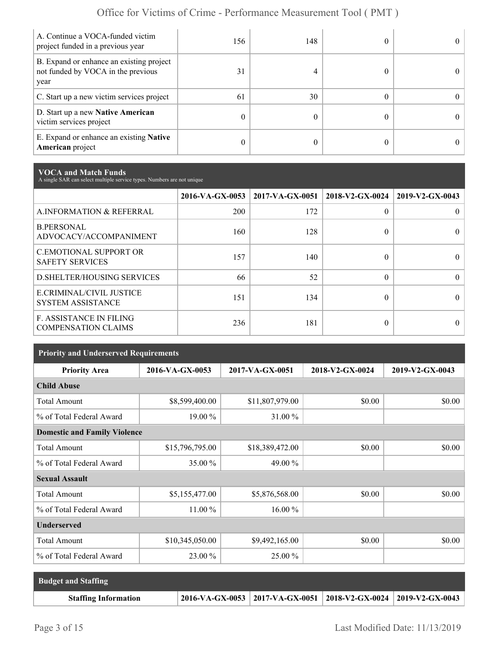| A. Continue a VOCA-funded victim<br>project funded in a previous year                  | 156. | 148 | $^{\circ}$ |
|----------------------------------------------------------------------------------------|------|-----|------------|
| B. Expand or enhance an existing project<br>not funded by VOCA in the previous<br>year | 31   |     | $\Omega$   |
| C. Start up a new victim services project                                              | 61   | 30  | 0          |
| D. Start up a new Native American<br>victim services project                           | 0    |     | $^{\circ}$ |
| E. Expand or enhance an existing <b>Native</b><br>American project                     | 0    |     | 0          |

**VOCA and Match Funds** A single SAR can select multiple service types. Numbers are not unique

|                                                              | 2016-VA-GX-0053 | 2017-VA-GX-0051 | 2018-V2-GX-0024 | 2019-V2-GX-0043 |
|--------------------------------------------------------------|-----------------|-----------------|-----------------|-----------------|
| A.INFORMATION & REFERRAL                                     | 200             | 172             | 0               |                 |
| <b>B.PERSONAL</b><br>ADVOCACY/ACCOMPANIMENT                  | 160             | 128             | 0               |                 |
| <b>C.EMOTIONAL SUPPORT OR</b><br><b>SAFETY SERVICES</b>      | 157             | 140             | 0               |                 |
| <b>D.SHELTER/HOUSING SERVICES</b>                            | 66              | 52              | $\Omega$        | $\Omega$        |
| E.CRIMINAL/CIVIL JUSTICE<br><b>SYSTEM ASSISTANCE</b>         | 151             | 134             | 0               |                 |
| <b>F. ASSISTANCE IN FILING</b><br><b>COMPENSATION CLAIMS</b> | 236             | 181             | 0               |                 |

| <b>Priority and Underserved Requirements</b> |                 |                 |                 |                 |  |  |  |
|----------------------------------------------|-----------------|-----------------|-----------------|-----------------|--|--|--|
| <b>Priority Area</b>                         | 2016-VA-GX-0053 | 2017-VA-GX-0051 | 2018-V2-GX-0024 | 2019-V2-GX-0043 |  |  |  |
| <b>Child Abuse</b>                           |                 |                 |                 |                 |  |  |  |
| <b>Total Amount</b>                          | \$8,599,400.00  | \$11,807,979.00 | \$0.00          | \$0.00          |  |  |  |
| % of Total Federal Award                     | 19.00 %         | 31.00 %         |                 |                 |  |  |  |
| <b>Domestic and Family Violence</b>          |                 |                 |                 |                 |  |  |  |
| <b>Total Amount</b>                          | \$15,796,795.00 | \$18,389,472.00 | \$0.00          | \$0.00          |  |  |  |
| % of Total Federal Award                     | 35.00 %         | 49.00 %         |                 |                 |  |  |  |
| <b>Sexual Assault</b>                        |                 |                 |                 |                 |  |  |  |
| <b>Total Amount</b>                          | \$5,155,477.00  | \$5,876,568.00  | \$0.00          | \$0.00          |  |  |  |
| % of Total Federal Award                     | 11.00 %         | 16.00 %         |                 |                 |  |  |  |
| <b>Underserved</b>                           |                 |                 |                 |                 |  |  |  |
| <b>Total Amount</b>                          | \$10,345,050.00 | \$9,492,165.00  | \$0.00          | \$0.00          |  |  |  |
| % of Total Federal Award                     | 23.00 %         | 25.00 %         |                 |                 |  |  |  |

| <b>Budget and Staffing</b>  |                                                                         |  |
|-----------------------------|-------------------------------------------------------------------------|--|
| <b>Staffing Information</b> | $2016-VA-GX-0053$   2017-VA-GX-0051   2018-V2-GX-0024   2019-V2-GX-0043 |  |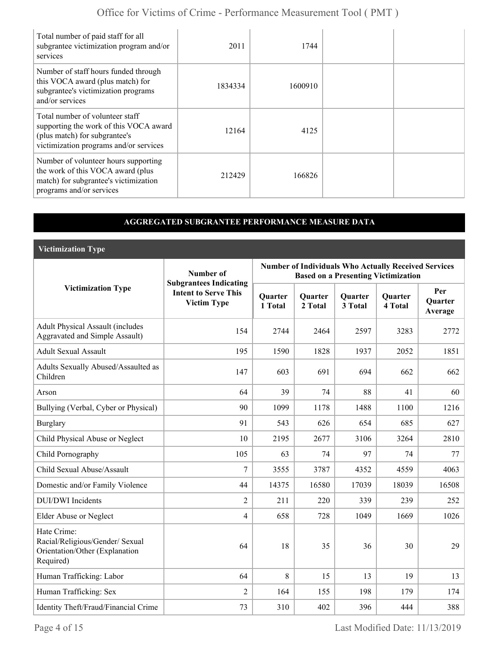| Total number of paid staff for all<br>subgrantee victimization program and/or<br>services                                                            | 2011    | 1744    |  |
|------------------------------------------------------------------------------------------------------------------------------------------------------|---------|---------|--|
| Number of staff hours funded through<br>this VOCA award (plus match) for<br>subgrantee's victimization programs<br>and/or services                   | 1834334 | 1600910 |  |
| Total number of volunteer staff<br>supporting the work of this VOCA award<br>(plus match) for subgrantee's<br>victimization programs and/or services | 12164   | 4125    |  |
| Number of volunteer hours supporting<br>the work of this VOCA award (plus<br>match) for subgrantee's victimization<br>programs and/or services       | 212429  | 166826  |  |

#### **AGGREGATED SUBGRANTEE PERFORMANCE MEASURE DATA**

**Victimization Type**

|                                                                                               | Number of                                                                          | <b>Number of Individuals Who Actually Received Services</b><br><b>Based on a Presenting Victimization</b> |                    |                    |                           |                                  |
|-----------------------------------------------------------------------------------------------|------------------------------------------------------------------------------------|-----------------------------------------------------------------------------------------------------------|--------------------|--------------------|---------------------------|----------------------------------|
| <b>Victimization Type</b>                                                                     | <b>Subgrantees Indicating</b><br><b>Intent to Serve This</b><br><b>Victim Type</b> | <b>Quarter</b><br>1 Total                                                                                 | Quarter<br>2 Total | Quarter<br>3 Total | <b>Quarter</b><br>4 Total | Per<br><b>Ouarter</b><br>Average |
| <b>Adult Physical Assault (includes</b><br>Aggravated and Simple Assault)                     | 154                                                                                | 2744                                                                                                      | 2464               | 2597               | 3283                      | 2772                             |
| <b>Adult Sexual Assault</b>                                                                   | 195                                                                                | 1590                                                                                                      | 1828               | 1937               | 2052                      | 1851                             |
| Adults Sexually Abused/Assaulted as<br>Children                                               | 147                                                                                | 603                                                                                                       | 691                | 694                | 662                       | 662                              |
| Arson                                                                                         | 64                                                                                 | 39                                                                                                        | 74                 | 88                 | 41                        | 60                               |
| Bullying (Verbal, Cyber or Physical)                                                          | 90                                                                                 | 1099                                                                                                      | 1178               | 1488               | 1100                      | 1216                             |
| <b>Burglary</b>                                                                               | 91                                                                                 | 543                                                                                                       | 626                | 654                | 685                       | 627                              |
| Child Physical Abuse or Neglect                                                               | 10                                                                                 | 2195                                                                                                      | 2677               | 3106               | 3264                      | 2810                             |
| Child Pornography                                                                             | 105                                                                                | 63                                                                                                        | 74                 | 97                 | 74                        | 77                               |
| Child Sexual Abuse/Assault                                                                    | $\overline{7}$                                                                     | 3555                                                                                                      | 3787               | 4352               | 4559                      | 4063                             |
| Domestic and/or Family Violence                                                               | 44                                                                                 | 14375                                                                                                     | 16580              | 17039              | 18039                     | 16508                            |
| <b>DUI/DWI</b> Incidents                                                                      | $\overline{2}$                                                                     | 211                                                                                                       | 220                | 339                | 239                       | 252                              |
| <b>Elder Abuse or Neglect</b>                                                                 | $\overline{4}$                                                                     | 658                                                                                                       | 728                | 1049               | 1669                      | 1026                             |
| Hate Crime:<br>Racial/Religious/Gender/ Sexual<br>Orientation/Other (Explanation<br>Required) | 64                                                                                 | 18                                                                                                        | 35                 | 36                 | 30                        | 29                               |
| Human Trafficking: Labor                                                                      | 64                                                                                 | 8                                                                                                         | 15                 | 13                 | 19                        | 13                               |
| Human Trafficking: Sex                                                                        | $\overline{2}$                                                                     | 164                                                                                                       | 155                | 198                | 179                       | 174                              |
| Identity Theft/Fraud/Financial Crime                                                          | 73                                                                                 | 310                                                                                                       | 402                | 396                | 444                       | 388                              |

Page 4 of 15 Last Modified Date: 11/13/2019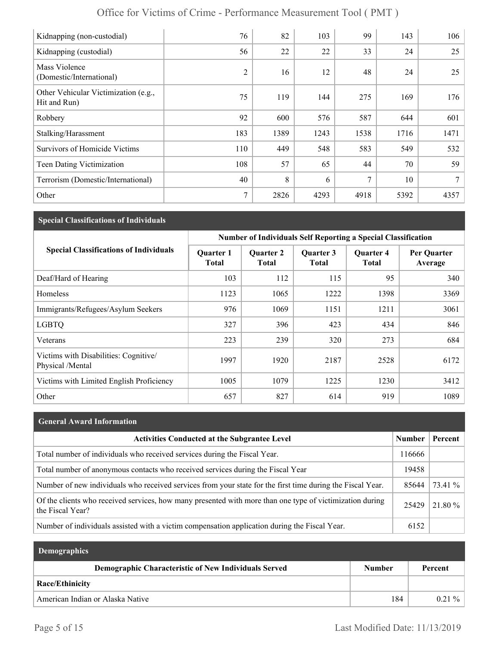| Kidnapping (non-custodial)                           | 76             | 82   | 103  | 99   | 143  | 106  |
|------------------------------------------------------|----------------|------|------|------|------|------|
| Kidnapping (custodial)                               | 56             | 22   | 22   | 33   | 24   | 25   |
| Mass Violence<br>(Domestic/International)            | $\overline{2}$ | 16   | 12   | 48   | 24   | 25   |
| Other Vehicular Victimization (e.g.,<br>Hit and Run) | 75             | 119  | 144  | 275  | 169  | 176  |
| Robbery                                              | 92             | 600  | 576  | 587  | 644  | 601  |
| Stalking/Harassment                                  | 183            | 1389 | 1243 | 1538 | 1716 | 1471 |
| <b>Survivors of Homicide Victims</b>                 | 110            | 449  | 548  | 583  | 549  | 532  |
| Teen Dating Victimization                            | 108            | 57   | 65   | 44   | 70   | 59   |
| Terrorism (Domestic/International)                   | 40             | 8    | 6    | 7    | 10   | 7    |
| Other                                                | 7              | 2826 | 4293 | 4918 | 5392 | 4357 |

#### **Special Classifications of Individuals**

|                                                           | <b>Number of Individuals Self Reporting a Special Classification</b> |                           |                           |                                  |                        |
|-----------------------------------------------------------|----------------------------------------------------------------------|---------------------------|---------------------------|----------------------------------|------------------------|
| <b>Special Classifications of Individuals</b>             | <b>Quarter 1</b><br>Total                                            | <b>Quarter 2</b><br>Total | Quarter 3<br><b>Total</b> | <b>Quarter 4</b><br><b>Total</b> | Per Quarter<br>Average |
| Deaf/Hard of Hearing                                      | 103                                                                  | 112                       | 115                       | 95                               | 340                    |
| Homeless                                                  | 1123                                                                 | 1065                      | 1222                      | 1398                             | 3369                   |
| Immigrants/Refugees/Asylum Seekers                        | 976                                                                  | 1069                      | 1151                      | 1211                             | 3061                   |
| <b>LGBTQ</b>                                              | 327                                                                  | 396                       | 423                       | 434                              | 846                    |
| Veterans                                                  | 223                                                                  | 239                       | 320                       | 273                              | 684                    |
| Victims with Disabilities: Cognitive/<br>Physical /Mental | 1997                                                                 | 1920                      | 2187                      | 2528                             | 6172                   |
| Victims with Limited English Proficiency                  | 1005                                                                 | 1079                      | 1225                      | 1230                             | 3412                   |
| Other                                                     | 657                                                                  | 827                       | 614                       | 919                              | 1089                   |

# **General Award Information** Activities Conducted at the Subgrantee Level **Number | Percent** Total number of individuals who received services during the Fiscal Year. 116666 Total number of anonymous contacts who received services during the Fiscal Year 19458 Number of new individuals who received services from your state for the first time during the Fiscal Year. 85644 73.41 % Of the clients who received services, how many presented with more than one type of victimization during  $25429$   $21.80\%$ <br>the Fiscal Year? Number of individuals assisted with a victim compensation application during the Fiscal Year. 6152

| <b>Demographics</b>                                         |               |          |
|-------------------------------------------------------------|---------------|----------|
| <b>Demographic Characteristic of New Individuals Served</b> | <b>Number</b> | Percent  |
| <b>Race/Ethinicity</b>                                      |               |          |
| American Indian or Alaska Native                            | 184           | $0.21\%$ |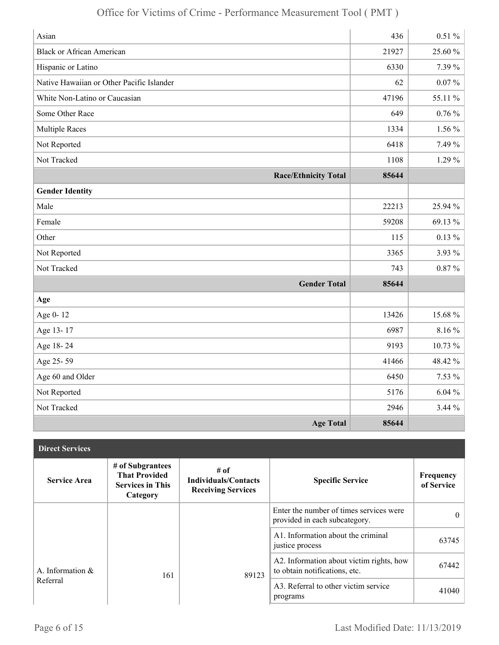| Asian                                     | 436   | $0.51\%$  |
|-------------------------------------------|-------|-----------|
| <b>Black or African American</b>          | 21927 | 25.60 %   |
| Hispanic or Latino                        | 6330  | 7.39 %    |
| Native Hawaiian or Other Pacific Islander | 62    | $0.07~\%$ |
| White Non-Latino or Caucasian             | 47196 | 55.11 %   |
| Some Other Race                           | 649   | $0.76\%$  |
| <b>Multiple Races</b>                     | 1334  | $1.56\%$  |
| Not Reported                              | 6418  | 7.49 %    |
| Not Tracked                               | 1108  | $1.29\%$  |
| <b>Race/Ethnicity Total</b>               | 85644 |           |
| <b>Gender Identity</b>                    |       |           |
| Male                                      | 22213 | 25.94 %   |
| Female                                    | 59208 | 69.13 %   |
| Other                                     | 115   | $0.13 \%$ |
| Not Reported                              | 3365  | 3.93 %    |
| Not Tracked                               | 743   | $0.87\%$  |
| <b>Gender Total</b>                       | 85644 |           |
| Age                                       |       |           |
| Age 0-12                                  | 13426 | 15.68%    |
| Age 13-17                                 | 6987  | $8.16\%$  |
| Age 18-24                                 | 9193  | 10.73 %   |
| Age 25-59                                 | 41466 | 48.42%    |
| Age 60 and Older                          | 6450  | $7.53\%$  |
| Not Reported                              | 5176  | $6.04\%$  |
| Not Tracked                               | 2946  | 3.44%     |
| <b>Age Total</b>                          | 85644 |           |

| <b>Direct Services</b> |                                                                                 |                                                                    |                                                                           |                         |
|------------------------|---------------------------------------------------------------------------------|--------------------------------------------------------------------|---------------------------------------------------------------------------|-------------------------|
| <b>Service Area</b>    | # of Subgrantees<br><b>That Provided</b><br><b>Services in This</b><br>Category | $#$ of<br><b>Individuals/Contacts</b><br><b>Receiving Services</b> | <b>Specific Service</b>                                                   | Frequency<br>of Service |
|                        |                                                                                 |                                                                    | Enter the number of times services were<br>provided in each subcategory.  | $\theta$                |
|                        |                                                                                 |                                                                    | A1. Information about the criminal<br>justice process                     | 63745                   |
| A. Information &       | 161                                                                             | 89123                                                              | A2. Information about victim rights, how<br>to obtain notifications, etc. | 67442                   |
| Referral               |                                                                                 |                                                                    | A3. Referral to other victim service<br>programs                          | 41040                   |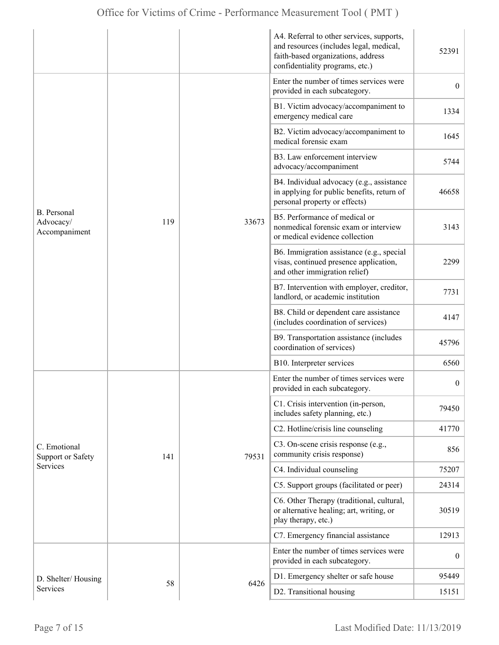|                                                         |     |                                                                          | A4. Referral to other services, supports,<br>and resources (includes legal, medical,<br>faith-based organizations, address<br>confidentiality programs, etc.) | 52391            |
|---------------------------------------------------------|-----|--------------------------------------------------------------------------|---------------------------------------------------------------------------------------------------------------------------------------------------------------|------------------|
| <b>B.</b> Personal<br>119<br>Advocacy/<br>Accompaniment |     | Enter the number of times services were<br>provided in each subcategory. | $\overline{0}$                                                                                                                                                |                  |
|                                                         |     | 33673                                                                    | B1. Victim advocacy/accompaniment to<br>emergency medical care                                                                                                | 1334             |
|                                                         |     |                                                                          | B2. Victim advocacy/accompaniment to<br>medical forensic exam                                                                                                 | 1645             |
|                                                         |     |                                                                          | B3. Law enforcement interview<br>advocacy/accompaniment                                                                                                       | 5744             |
|                                                         |     |                                                                          | B4. Individual advocacy (e.g., assistance<br>in applying for public benefits, return of<br>personal property or effects)                                      | 46658            |
|                                                         |     |                                                                          | B5. Performance of medical or<br>nonmedical forensic exam or interview<br>or medical evidence collection                                                      | 3143             |
|                                                         |     |                                                                          | B6. Immigration assistance (e.g., special<br>visas, continued presence application,<br>and other immigration relief)                                          | 2299             |
|                                                         |     |                                                                          | B7. Intervention with employer, creditor,<br>landlord, or academic institution                                                                                | 7731             |
|                                                         |     |                                                                          | B8. Child or dependent care assistance<br>(includes coordination of services)                                                                                 | 4147             |
|                                                         |     |                                                                          | B9. Transportation assistance (includes<br>coordination of services)                                                                                          | 45796            |
|                                                         |     |                                                                          | B10. Interpreter services                                                                                                                                     | 6560             |
|                                                         |     |                                                                          | Enter the number of times services were<br>provided in each subcategory.                                                                                      | $\boldsymbol{0}$ |
|                                                         |     |                                                                          | C1. Crisis intervention (in-person,<br>includes safety planning, etc.)                                                                                        | 79450            |
|                                                         |     |                                                                          | C2. Hotline/crisis line counseling                                                                                                                            | 41770            |
| C. Emotional<br><b>Support or Safety</b>                | 141 | 79531                                                                    | C3. On-scene crisis response (e.g.,<br>community crisis response)                                                                                             | 856              |
| Services                                                |     |                                                                          | C4. Individual counseling                                                                                                                                     | 75207            |
|                                                         |     |                                                                          | C5. Support groups (facilitated or peer)                                                                                                                      | 24314            |
|                                                         |     |                                                                          | C6. Other Therapy (traditional, cultural,<br>or alternative healing; art, writing, or<br>play therapy, etc.)                                                  | 30519            |
|                                                         |     |                                                                          | C7. Emergency financial assistance                                                                                                                            | 12913            |
|                                                         |     | 6426                                                                     | Enter the number of times services were<br>provided in each subcategory.                                                                                      | $\boldsymbol{0}$ |
| D. Shelter/Housing                                      | 58  |                                                                          | D1. Emergency shelter or safe house                                                                                                                           | 95449            |
| Services                                                |     |                                                                          | D2. Transitional housing                                                                                                                                      | 15151            |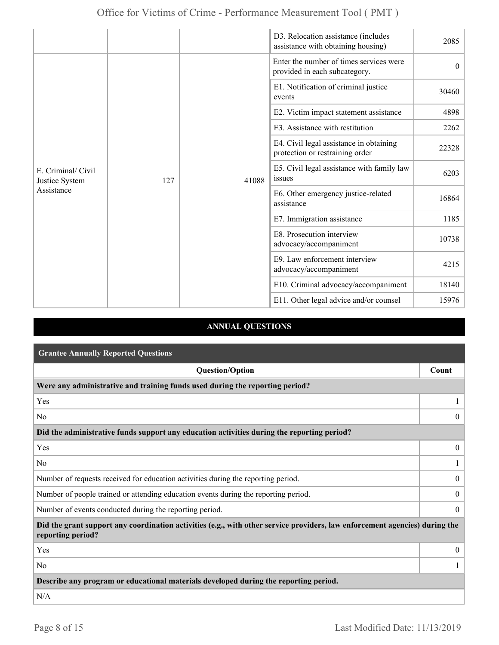|                                                    |     |       | D3. Relocation assistance (includes<br>assistance with obtaining housing)  | 2085     |
|----------------------------------------------------|-----|-------|----------------------------------------------------------------------------|----------|
| E. Criminal/ Civil<br>Justice System<br>Assistance |     |       | Enter the number of times services were<br>provided in each subcategory.   | $\theta$ |
|                                                    |     |       | E1. Notification of criminal justice<br>events                             | 30460    |
|                                                    |     |       | E2. Victim impact statement assistance                                     | 4898     |
|                                                    |     |       | E3. Assistance with restitution                                            | 2262     |
|                                                    |     |       | E4. Civil legal assistance in obtaining<br>protection or restraining order | 22328    |
|                                                    | 127 | 41088 | E5. Civil legal assistance with family law<br>issues                       | 6203     |
|                                                    |     |       | E6. Other emergency justice-related<br>assistance                          | 16864    |
|                                                    |     |       | E7. Immigration assistance                                                 | 1185     |
|                                                    |     |       | E8. Prosecution interview<br>advocacy/accompaniment                        | 10738    |
|                                                    |     |       | E9. Law enforcement interview<br>advocacy/accompaniment                    | 4215     |
|                                                    |     |       | E10. Criminal advocacy/accompaniment                                       | 18140    |
|                                                    |     |       | E11. Other legal advice and/or counsel                                     | 15976    |

### **ANNUAL QUESTIONS**

| <b>Grantee Annually Reported Questions</b>                                                                                                       |                |  |  |
|--------------------------------------------------------------------------------------------------------------------------------------------------|----------------|--|--|
| <b>Question/Option</b>                                                                                                                           | Count          |  |  |
| Were any administrative and training funds used during the reporting period?                                                                     |                |  |  |
| Yes                                                                                                                                              |                |  |  |
| N <sub>0</sub>                                                                                                                                   | $\overline{0}$ |  |  |
| Did the administrative funds support any education activities during the reporting period?                                                       |                |  |  |
| Yes                                                                                                                                              | $\overline{0}$ |  |  |
| N <sub>0</sub>                                                                                                                                   |                |  |  |
| Number of requests received for education activities during the reporting period.                                                                | $\mathbf{0}$   |  |  |
| Number of people trained or attending education events during the reporting period.                                                              | $\overline{0}$ |  |  |
| Number of events conducted during the reporting period.                                                                                          | $\overline{0}$ |  |  |
| Did the grant support any coordination activities (e.g., with other service providers, law enforcement agencies) during the<br>reporting period? |                |  |  |
| Yes                                                                                                                                              | $\overline{0}$ |  |  |
| N <sub>0</sub>                                                                                                                                   |                |  |  |
| Describe any program or educational materials developed during the reporting period.                                                             |                |  |  |
| N/A                                                                                                                                              |                |  |  |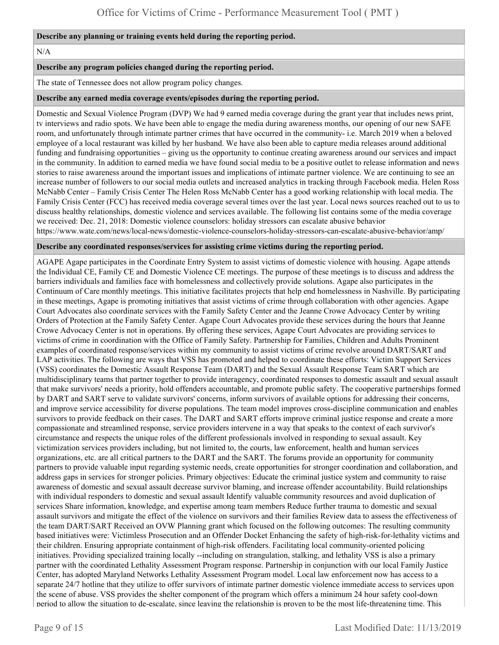#### **Describe any planning or training events held during the reporting period.**

N/A

#### **Describe any program policies changed during the reporting period.**

The state of Tennessee does not allow program policy changes.

#### **Describe any earned media coverage events/episodes during the reporting period.**

Domestic and Sexual Violence Program (DVP) We had 9 earned media coverage during the grant year that includes news print, tv interviews and radio spots. We have been able to engage the media during awareness months, our opening of our new SAFE room, and unfortunately through intimate partner crimes that have occurred in the community- i.e. March 2019 when a beloved employee of a local restaurant was killed by her husband. We have also been able to capture media releases around additional funding and fundraising opportunities – giving us the opportunity to continue creating awareness around our services and impact in the community. In addition to earned media we have found social media to be a positive outlet to release information and news stories to raise awareness around the important issues and implications of intimate partner violence. We are continuing to see an increase number of followers to our social media outlets and increased analytics in tracking through Facebook media. Helen Ross McNabb Center – Family Crisis Center The Helen Ross McNabb Center has a good working relationship with local media. The Family Crisis Center (FCC) has received media coverage several times over the last year. Local news sources reached out to us to discuss healthy relationships, domestic violence and services available. The following list contains some of the media coverage we received: Dec. 21, 2018: Domestic violence counselors: holiday stressors can escalate abusive behavior https://www.wate.com/news/local-news/domestic-violence-counselors-holiday-stressors-can-escalate-abusive-behavior/amp/

#### **Describe any coordinated responses/services for assisting crime victims during the reporting period.**

AGAPE Agape participates in the Coordinate Entry System to assist victims of domestic violence with housing. Agape attends the Individual CE, Family CE and Domestic Violence CE meetings. The purpose of these meetings is to discuss and address the barriers individuals and families face with homelessness and collectively provide solutions. Agape also participates in the Continuum of Care monthly meetings. This initiative facilitates projects that help end homelessness in Nashville. By participating in these meetings, Agape is promoting initiatives that assist victims of crime through collaboration with other agencies. Agape Court Advocates also coordinate services with the Family Safety Center and the Jeanne Crowe Advocacy Center by writing Orders of Protection at the Family Safety Center. Agape Court Advocates provide these services during the hours that Jeanne Crowe Advocacy Center is not in operations. By offering these services, Agape Court Advocates are providing services to victims of crime in coordination with the Office of Family Safety. Partnership for Families, Children and Adults Prominent examples of coordinated response/services within my community to assist victims of crime revolve around DART/SART and LAP activities. The following are ways that VSS has promoted and helped to coordinate these efforts: Victim Support Services (VSS) coordinates the Domestic Assault Response Team (DART) and the Sexual Assault Response Team SART which are multidisciplinary teams that partner together to provide interagency, coordinated responses to domestic assault and sexual assault that make survivors' needs a priority, hold offenders accountable, and promote public safety. The cooperative partnerships formed by DART and SART serve to validate survivors' concerns, inform survivors of available options for addressing their concerns, and improve service accessibility for diverse populations. The team model improves cross-discipline communication and enables survivors to provide feedback on their cases. The DART and SART efforts improve criminal justice response and create a more compassionate and streamlined response, service providers intervene in a way that speaks to the context of each survivor's circumstance and respects the unique roles of the different professionals involved in responding to sexual assault. Key victimization services providers including, but not limited to, the courts, law enforcement, health and human services organizations, etc. are all critical partners to the DART and the SART. The forums provide an opportunity for community partners to provide valuable input regarding systemic needs, create opportunities for stronger coordination and collaboration, and address gaps in services for stronger policies. Primary objectives: Educate the criminal justice system and community to raise awareness of domestic and sexual assault decrease survivor blaming, and increase offender accountability. Build relationships with individual responders to domestic and sexual assault Identify valuable community resources and avoid duplication of services Share information, knowledge, and expertise among team members Reduce further trauma to domestic and sexual assault survivors and mitigate the effect of the violence on survivors and their families Review data to assess the effectiveness of the team DART/SART Received an OVW Planning grant which focused on the following outcomes: The resulting community based initiatives were: Victimless Prosecution and an Offender Docket Enhancing the safety of high-risk-for-lethality victims and their children. Ensuring appropriate containment of high-risk offenders. Facilitating local community-oriented policing initiatives. Providing specialized training locally --including on strangulation, stalking, and lethality VSS is also a primary partner with the coordinated Lethality Assessment Program response. Partnership in conjunction with our local Family Justice Center, has adopted Maryland Networks Lethality Assessment Program model. Local law enforcement now has access to a separate 24/7 hotline that they utilize to offer survivors of intimate partner domestic violence immediate access to services upon the scene of abuse. VSS provides the shelter component of the program which offers a minimum 24 hour safety cool-down period to allow the situation to de-escalate, since leaving the relationship is proven to be the most life-threatening time. This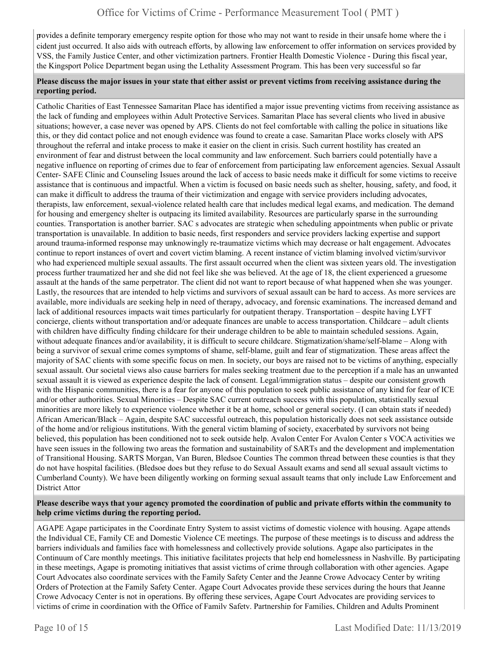provides a definite temporary emergency respite option for those who may not want to reside in their unsafe home where the i cident just occurred. It also aids with outreach efforts, by allowing law enforcement to offer information on services provided by VSS, the Family Justice Center, and other victimization partners. Frontier Health Domestic Violence - During this fiscal year, the Kingsport Police Department began using the Lethality Assessment Program. This has been very successful so far

#### **Please discuss the major issues in your state that either assist or prevent victims from receiving assistance during the reporting period.**

Catholic Charities of East Tennessee Samaritan Place has identified a major issue preventing victims from receiving assistance as the lack of funding and employees within Adult Protective Services. Samaritan Place has several clients who lived in abusive situations; however, a case never was opened by APS. Clients do not feel comfortable with calling the police in situations like this, or they did contact police and not enough evidence was found to create a case. Samaritan Place works closely with APS throughout the referral and intake process to make it easier on the client in crisis. Such current hostility has created an environment of fear and distrust between the local community and law enforcement. Such barriers could potentially have a negative influence on reporting of crimes due to fear of enforcement from participating law enforcement agencies. Sexual Assault Center- SAFE Clinic and Counseling Issues around the lack of access to basic needs make it difficult for some victims to receive assistance that is continuous and impactful. When a victim is focused on basic needs such as shelter, housing, safety, and food, it can make it difficult to address the trauma of their victimization and engage with service providers including advocates, therapists, law enforcement, sexual-violence related health care that includes medical legal exams, and medication. The demand for housing and emergency shelter is outpacing its limited availability. Resources are particularly sparse in the surrounding counties. Transportation is another barrier. SAC s advocates are strategic when scheduling appointments when public or private transportation is unavailable. In addition to basic needs, first responders and service providers lacking expertise and support around trauma-informed response may unknowingly re-traumatize victims which may decrease or halt engagement. Advocates continue to report instances of overt and covert victim blaming. A recent instance of victim blaming involved victim/survivor who had experienced multiple sexual assaults. The first assault occurred when the client was sixteen years old. The investigation process further traumatized her and she did not feel like she was believed. At the age of 18, the client experienced a gruesome assault at the hands of the same perpetrator. The client did not want to report because of what happened when she was younger. Lastly, the resources that are intended to help victims and survivors of sexual assault can be hard to access. As more services are available, more individuals are seeking help in need of therapy, advocacy, and forensic examinations. The increased demand and lack of additional resources impacts wait times particularly for outpatient therapy. Transportation – despite having LYFT concierge, clients without transportation and/or adequate finances are unable to access transportation. Childcare – adult clients with children have difficulty finding childcare for their underage children to be able to maintain scheduled sessions. Again, without adequate finances and/or availability, it is difficult to secure childcare. Stigmatization/shame/self-blame – Along with being a survivor of sexual crime comes symptoms of shame, self-blame, guilt and fear of stigmatization. These areas affect the majority of SAC clients with some specific focus on men. In society, our boys are raised not to be victims of anything, especially sexual assault. Our societal views also cause barriers for males seeking treatment due to the perception if a male has an unwanted sexual assault it is viewed as experience despite the lack of consent. Legal/immigration status – despite our consistent growth with the Hispanic communities, there is a fear for anyone of this population to seek public assistance of any kind for fear of ICE and/or other authorities. Sexual Minorities – Despite SAC current outreach success with this population, statistically sexual minorities are more likely to experience violence whether it be at home, school or general society. (I can obtain stats if needed) African American/Black – Again, despite SAC successful outreach, this population historically does not seek assistance outside of the home and/or religious institutions. With the general victim blaming of society, exacerbated by survivors not being believed, this population has been conditioned not to seek outside help. Avalon Center For Avalon Center s VOCA activities we have seen issues in the following two areas the formation and sustainability of SARTs and the development and implementation of Transitional Housing. SARTS Morgan, Van Buren, Bledsoe Counties The common thread between these counties is that they do not have hospital facilities. (Bledsoe does but they refuse to do Sexual Assault exams and send all sexual assault victims to Cumberland County). We have been diligently working on forming sexual assault teams that only include Law Enforcement and District Attor

#### **Please describe ways that your agency promoted the coordination of public and private efforts within the community to help crime victims during the reporting period.**

AGAPE Agape participates in the Coordinate Entry System to assist victims of domestic violence with housing. Agape attends the Individual CE, Family CE and Domestic Violence CE meetings. The purpose of these meetings is to discuss and address the barriers individuals and families face with homelessness and collectively provide solutions. Agape also participates in the Continuum of Care monthly meetings. This initiative facilitates projects that help end homelessness in Nashville. By participating in these meetings, Agape is promoting initiatives that assist victims of crime through collaboration with other agencies. Agape Court Advocates also coordinate services with the Family Safety Center and the Jeanne Crowe Advocacy Center by writing Orders of Protection at the Family Safety Center. Agape Court Advocates provide these services during the hours that Jeanne Crowe Advocacy Center is not in operations. By offering these services, Agape Court Advocates are providing services to victims of crime in coordination with the Office of Family Safety. Partnership for Families, Children and Adults Prominent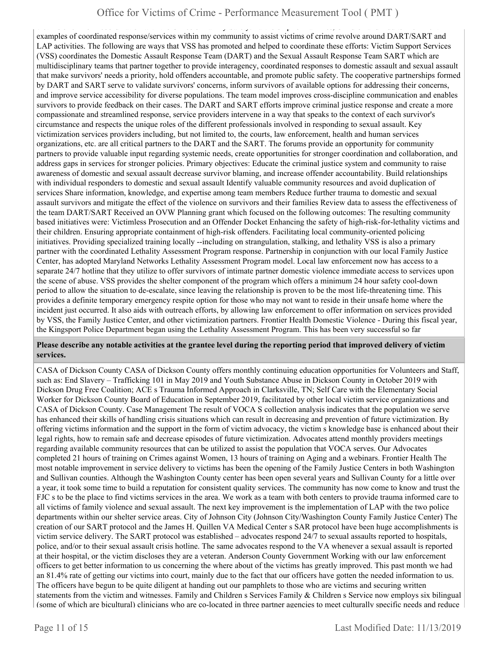victims of crime in coordination with the Office of Family Safety. Partnership for Families, Children and Adults Prominent examples of coordinated response/services within my community to assist victims of crime revolve around DART/SART and LAP activities. The following are ways that VSS has promoted and helped to coordinate these efforts: Victim Support Services (VSS) coordinates the Domestic Assault Response Team (DART) and the Sexual Assault Response Team SART which are multidisciplinary teams that partner together to provide interagency, coordinated responses to domestic assault and sexual assault that make survivors' needs a priority, hold offenders accountable, and promote public safety. The cooperative partnerships formed by DART and SART serve to validate survivors' concerns, inform survivors of available options for addressing their concerns, and improve service accessibility for diverse populations. The team model improves cross-discipline communication and enables survivors to provide feedback on their cases. The DART and SART efforts improve criminal justice response and create a more compassionate and streamlined response, service providers intervene in a way that speaks to the context of each survivor's circumstance and respects the unique roles of the different professionals involved in responding to sexual assault. Key victimization services providers including, but not limited to, the courts, law enforcement, health and human services organizations, etc. are all critical partners to the DART and the SART. The forums provide an opportunity for community partners to provide valuable input regarding systemic needs, create opportunities for stronger coordination and collaboration, and address gaps in services for stronger policies. Primary objectives: Educate the criminal justice system and community to raise awareness of domestic and sexual assault decrease survivor blaming, and increase offender accountability. Build relationships with individual responders to domestic and sexual assault Identify valuable community resources and avoid duplication of services Share information, knowledge, and expertise among team members Reduce further trauma to domestic and sexual assault survivors and mitigate the effect of the violence on survivors and their families Review data to assess the effectiveness of the team DART/SART Received an OVW Planning grant which focused on the following outcomes: The resulting community based initiatives were: Victimless Prosecution and an Offender Docket Enhancing the safety of high-risk-for-lethality victims and their children. Ensuring appropriate containment of high-risk offenders. Facilitating local community-oriented policing initiatives. Providing specialized training locally --including on strangulation, stalking, and lethality VSS is also a primary partner with the coordinated Lethality Assessment Program response. Partnership in conjunction with our local Family Justice Center, has adopted Maryland Networks Lethality Assessment Program model. Local law enforcement now has access to a separate 24/7 hotline that they utilize to offer survivors of intimate partner domestic violence immediate access to services upon the scene of abuse. VSS provides the shelter component of the program which offers a minimum 24 hour safety cool-down period to allow the situation to de-escalate, since leaving the relationship is proven to be the most life-threatening time. This provides a definite temporary emergency respite option for those who may not want to reside in their unsafe home where the incident just occurred. It also aids with outreach efforts, by allowing law enforcement to offer information on services provided by VSS, the Family Justice Center, and other victimization partners. Frontier Health Domestic Violence - During this fiscal year, the Kingsport Police Department began using the Lethality Assessment Program. This has been very successful so far

#### **Please describe any notable activities at the grantee level during the reporting period that improved delivery of victim services.**

CASA of Dickson County CASA of Dickson County offers monthly continuing education opportunities for Volunteers and Staff, such as: End Slavery – Trafficking 101 in May 2019 and Youth Substance Abuse in Dickson County in October 2019 with Dickson Drug Free Coalition; ACE s Trauma Informed Approach in Clarksville, TN; Self Care with the Elementary Social Worker for Dickson County Board of Education in September 2019, facilitated by other local victim service organizations and CASA of Dickson County. Case Management The result of VOCA S collection analysis indicates that the population we serve has enhanced their skills of handling crisis situations which can result in decreasing and prevention of future victimization. By offering victims information and the support in the form of victim advocacy, the victim s knowledge base is enhanced about their legal rights, how to remain safe and decrease episodes of future victimization. Advocates attend monthly providers meetings regarding available community resources that can be utilized to assist the population that VOCA serves. Our Advocates completed 21 hours of training on Crimes against Women, 13 hours of training on Aging and a webinars. Frontier Health The most notable improvement in service delivery to victims has been the opening of the Family Justice Centers in both Washington and Sullivan counties. Although the Washington County center has been open several years and Sullivan County for a little over a year, it took some time to build a reputation for consistent quality services. The community has now come to know and trust the FJC s to be the place to find victims services in the area. We work as a team with both centers to provide trauma informed care to all victims of family violence and sexual assault. The next key improvement is the implementation of LAP with the two police departments within our shelter service areas. City of Johnson City (Johnson City/Washington County Family Justice Center) The creation of our SART protocol and the James H. Quillen VA Medical Center s SAR protocol have been huge accomplishments is victim service delivery. The SART protocol was established – advocates respond 24/7 to sexual assaults reported to hospitals, police, and/or to their sexual assault crisis hotline. The same advocates respond to the VA whenever a sexual assault is reported at their hospital, or the victim discloses they are a veteran. Anderson County Government Working with our law enforcement officers to get better information to us concerning the where about of the victims has greatly improved. This past month we had an 81.4% rate of getting our victims into court, mainly due to the fact that our officers have gotten the needed information to us. The officers have begun to be quite diligent at handing out our pamphlets to those who are victims and securing written statements from the victim and witnesses. Family and Children s Services Family & Children s Service now employs six bilingual (some of which are bicultural) clinicians who are co-located in three partner agencies to meet culturally specific needs and reduce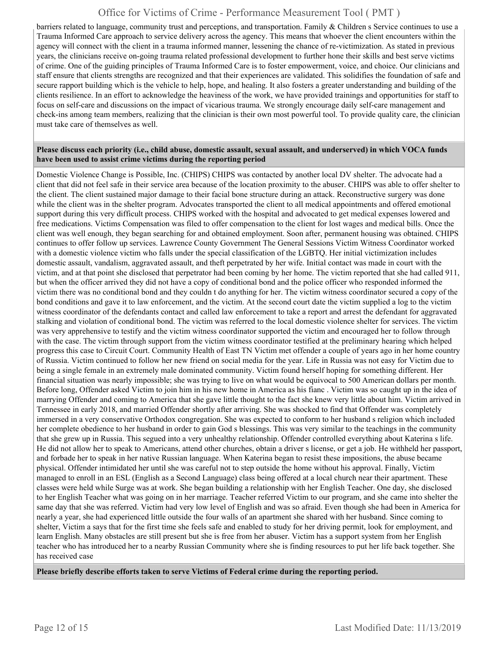barriers related to language, community trust and perceptions, and transportation. Family & Children s Service continues to use a Trauma Informed Care approach to service delivery across the agency. This means that whoever the client encounters within the agency will connect with the client in a trauma informed manner, lessening the chance of re-victimization. As stated in previous years, the clinicians receive on-going trauma related professional development to further hone their skills and best serve victims of crime. One of the guiding principles of Trauma Informed Care is to foster empowerment, voice, and choice. Our clinicians and staff ensure that clients strengths are recognized and that their experiences are validated. This solidifies the foundation of safe and secure rapport building which is the vehicle to help, hope, and healing. It also fosters a greater understanding and building of the clients resilience. In an effort to acknowledge the heaviness of the work, we have provided trainings and opportunities for staff to focus on self-care and discussions on the impact of vicarious trauma. We strongly encourage daily self-care management and check-ins among team members, realizing that the clinician is their own most powerful tool. To provide quality care, the clinician must take care of themselves as well.

#### **Please discuss each priority (i.e., child abuse, domestic assault, sexual assault, and underserved) in which VOCA funds have been used to assist crime victims during the reporting period**

Domestic Violence Change is Possible, Inc. (CHIPS) CHIPS was contacted by another local DV shelter. The advocate had a client that did not feel safe in their service area because of the location proximity to the abuser. CHIPS was able to offer shelter to the client. The client sustained major damage to their facial bone structure during an attack. Reconstructive surgery was done while the client was in the shelter program. Advocates transported the client to all medical appointments and offered emotional support during this very difficult process. CHIPS worked with the hospital and advocated to get medical expenses lowered and free medications. Victims Compensation was filed to offer compensation to the client for lost wages and medical bills. Once the client was well enough, they began searching for and obtained employment. Soon after, permanent housing was obtained. CHIPS continues to offer follow up services. Lawrence County Government The General Sessions Victim Witness Coordinator worked with a domestic violence victim who falls under the special classification of the LGBTQ. Her initial victimization includes domestic assault, vandalism, aggravated assault, and theft perpetrated by her wife. Initial contact was made in court with the victim, and at that point she disclosed that perpetrator had been coming by her home. The victim reported that she had called 911, but when the officer arrived they did not have a copy of conditional bond and the police officer who responded informed the victim there was no conditional bond and they couldn t do anything for her. The victim witness coordinator secured a copy of the bond conditions and gave it to law enforcement, and the victim. At the second court date the victim supplied a log to the victim witness coordinator of the defendants contact and called law enforcement to take a report and arrest the defendant for aggravated stalking and violation of conditional bond. The victim was referred to the local domestic violence shelter for services. The victim was very apprehensive to testify and the victim witness coordinator supported the victim and encouraged her to follow through with the case. The victim through support from the victim witness coordinator testified at the preliminary hearing which helped progress this case to Circuit Court. Community Health of East TN Victim met offender a couple of years ago in her home country of Russia. Victim continued to follow her new friend on social media for the year. Life in Russia was not easy for Victim due to being a single female in an extremely male dominated community. Victim found herself hoping for something different. Her financial situation was nearly impossible; she was trying to live on what would be equivocal to 500 American dollars per month. Before long, Offender asked Victim to join him in his new home in America as his fianc . Victim was so caught up in the idea of marrying Offender and coming to America that she gave little thought to the fact she knew very little about him. Victim arrived in Tennessee in early 2018, and married Offender shortly after arriving. She was shocked to find that Offender was completely immersed in a very conservative Orthodox congregation. She was expected to conform to her husband s religion which included her complete obedience to her husband in order to gain God s blessings. This was very similar to the teachings in the community that she grew up in Russia. This segued into a very unhealthy relationship. Offender controlled everything about Katerina s life. He did not allow her to speak to Americans, attend other churches, obtain a driver s license, or get a job. He withheld her passport, and forbade her to speak in her native Russian language. When Katerina began to resist these impositions, the abuse became physical. Offender intimidated her until she was careful not to step outside the home without his approval. Finally, Victim managed to enroll in an ESL (English as a Second Language) class being offered at a local church near their apartment. These classes were held while Surge was at work. She began building a relationship with her English Teacher. One day, she disclosed to her English Teacher what was going on in her marriage. Teacher referred Victim to our program, and she came into shelter the same day that she was referred. Victim had very low level of English and was so afraid. Even though she had been in America for nearly a year, she had experienced little outside the four walls of an apartment she shared with her husband. Since coming to shelter, Victim a says that for the first time she feels safe and enabled to study for her driving permit, look for employment, and learn English. Many obstacles are still present but she is free from her abuser. Victim has a support system from her English teacher who has introduced her to a nearby Russian Community where she is finding resources to put her life back together. She has received case

**Please briefly describe efforts taken to serve Victims of Federal crime during the reporting period.**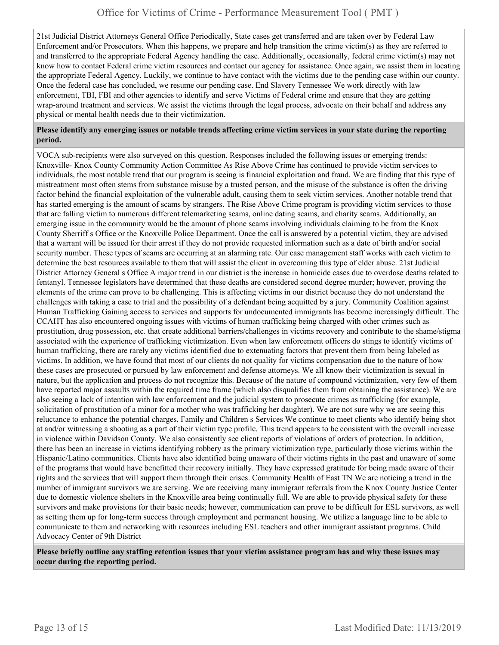21st Judicial District Attorneys General Office Periodically, State cases get transferred and are taken over by Federal Law Enforcement and/or Prosecutors. When this happens, we prepare and help transition the crime victim(s) as they are referred to and transferred to the appropriate Federal Agency handling the case. Additionally, occasionally, federal crime victim(s) may not know how to contact Federal crime victim resources and contact our agency for assistance. Once again, we assist them in locating the appropriate Federal Agency. Luckily, we continue to have contact with the victims due to the pending case within our county. Once the federal case has concluded, we resume our pending case. End Slavery Tennessee We work directly with law enforcement, TBI, FBI and other agencies to identify and serve Victims of Federal crime and ensure that they are getting wrap-around treatment and services. We assist the victims through the legal process, advocate on their behalf and address any physical or mental health needs due to their victimization.

#### **Please identify any emerging issues or notable trends affecting crime victim services in your state during the reporting period.**

VOCA sub-recipients were also surveyed on this question. Responses included the following issues or emerging trends: Knoxville- Knox County Community Action Committee As Rise Above Crime has continued to provide victim services to individuals, the most notable trend that our program is seeing is financial exploitation and fraud. We are finding that this type of mistreatment most often stems from substance misuse by a trusted person, and the misuse of the substance is often the driving factor behind the financial exploitation of the vulnerable adult, causing them to seek victim services. Another notable trend that has started emerging is the amount of scams by strangers. The Rise Above Crime program is providing victim services to those that are falling victim to numerous different telemarketing scams, online dating scams, and charity scams. Additionally, an emerging issue in the community would be the amount of phone scams involving individuals claiming to be from the Knox County Sherriff s Office or the Knoxville Police Department. Once the call is answered by a potential victim, they are advised that a warrant will be issued for their arrest if they do not provide requested information such as a date of birth and/or social security number. These types of scams are occurring at an alarming rate. Our case management staff works with each victim to determine the best resources available to them that will assist the client in overcoming this type of elder abuse. 21st Judicial District Attorney General s Office A major trend in our district is the increase in homicide cases due to overdose deaths related to fentanyl. Tennessee legislators have determined that these deaths are considered second degree murder; however, proving the elements of the crime can prove to be challenging. This is affecting victims in our district because they do not understand the challenges with taking a case to trial and the possibility of a defendant being acquitted by a jury. Community Coalition against Human Trafficking Gaining access to services and supports for undocumented immigrants has become increasingly difficult. The CCAHT has also encountered ongoing issues with victims of human trafficking being charged with other crimes such as prostitution, drug possession, etc. that create additional barriers/challenges in victims recovery and contribute to the shame/stigma associated with the experience of trafficking victimization. Even when law enforcement officers do stings to identify victims of human trafficking, there are rarely any victims identified due to extenuating factors that prevent them from being labeled as victims. In addition, we have found that most of our clients do not quality for victims compensation due to the nature of how these cases are prosecuted or pursued by law enforcement and defense attorneys. We all know their victimization is sexual in nature, but the application and process do not recognize this. Because of the nature of compound victimization, very few of them have reported major assaults within the required time frame (which also disqualifies them from obtaining the assistance). We are also seeing a lack of intention with law enforcement and the judicial system to prosecute crimes as trafficking (for example, solicitation of prostitution of a minor for a mother who was trafficking her daughter). We are not sure why we are seeing this reluctance to enhance the potential charges. Family and Children s Services We continue to meet clients who identify being shot at and/or witnessing a shooting as a part of their victim type profile. This trend appears to be consistent with the overall increase in violence within Davidson County. We also consistently see client reports of violations of orders of protection. In addition, there has been an increase in victims identifying robbery as the primary victimization type, particularly those victims within the Hispanic/Latino communities. Clients have also identified being unaware of their victims rights in the past and unaware of some of the programs that would have benefitted their recovery initially. They have expressed gratitude for being made aware of their rights and the services that will support them through their crises. Community Health of East TN We are noticing a trend in the number of immigrant survivors we are serving. We are receiving many immigrant referrals from the Knox County Justice Center due to domestic violence shelters in the Knoxville area being continually full. We are able to provide physical safety for these survivors and make provisions for their basic needs; however, communication can prove to be difficult for ESL survivors, as well as setting them up for long-term success through employment and permanent housing. We utilize a language line to be able to communicate to them and networking with resources including ESL teachers and other immigrant assistant programs. Child Advocacy Center of 9th District

**Please briefly outline any staffing retention issues that your victim assistance program has and why these issues may occur during the reporting period.**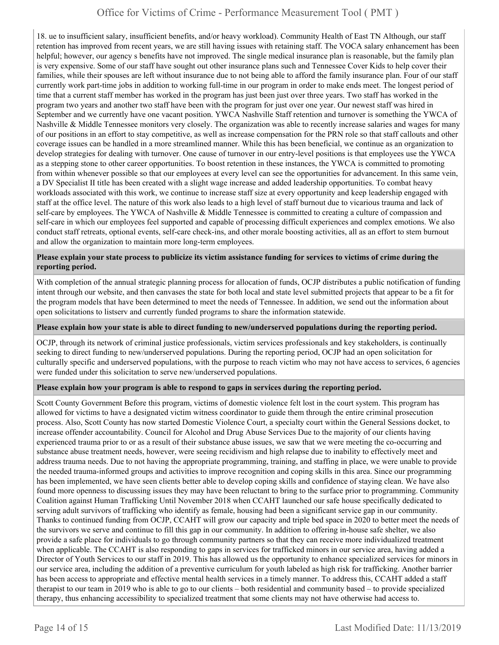18. ue to insufficient salary, insufficient benefits, and/or heavy workload). Community Health of East TN Although, our staff retention has improved from recent years, we are still having issues with retaining staff. The VOCA salary enhancement has been helpful; however, our agency s benefits have not improved. The single medical insurance plan is reasonable, but the family plan is very expensive. Some of our staff have sought out other insurance plans such and Tennessee Cover Kids to help cover their families, while their spouses are left without insurance due to not being able to afford the family insurance plan. Four of our staff currently work part-time jobs in addition to working full-time in our program in order to make ends meet. The longest period of time that a current staff member has worked in the program has just been just over three years. Two staff has worked in the program two years and another two staff have been with the program for just over one year. Our newest staff was hired in September and we currently have one vacant position. YWCA Nashville Staff retention and turnover is something the YWCA of Nashville & Middle Tennessee monitors very closely. The organization was able to recently increase salaries and wages for many of our positions in an effort to stay competitive, as well as increase compensation for the PRN role so that staff callouts and other coverage issues can be handled in a more streamlined manner. While this has been beneficial, we continue as an organization to develop strategies for dealing with turnover. One cause of turnover in our entry-level positions is that employees use the YWCA as a stepping stone to other career opportunities. To boost retention in these instances, the YWCA is committed to promoting from within whenever possible so that our employees at every level can see the opportunities for advancement. In this same vein, a DV Specialist II title has been created with a slight wage increase and added leadership opportunities. To combat heavy workloads associated with this work, we continue to increase staff size at every opportunity and keep leadership engaged with staff at the office level. The nature of this work also leads to a high level of staff burnout due to vicarious trauma and lack of self-care by employees. The YWCA of Nashville & Middle Tennessee is committed to creating a culture of compassion and self-care in which our employees feel supported and capable of processing difficult experiences and complex emotions. We also conduct staff retreats, optional events, self-care check-ins, and other morale boosting activities, all as an effort to stem burnout and allow the organization to maintain more long-term employees.

#### **Please explain your state process to publicize its victim assistance funding for services to victims of crime during the reporting period.**

With completion of the annual strategic planning process for allocation of funds, OCJP distributes a public notification of funding intent through our website, and then canvases the state for both local and state level submitted projects that appear to be a fit for the program models that have been determined to meet the needs of Tennessee. In addition, we send out the information about open solicitations to listserv and currently funded programs to share the information statewide.

#### **Please explain how your state is able to direct funding to new/underserved populations during the reporting period.**

OCJP, through its network of criminal justice professionals, victim services professionals and key stakeholders, is continually seeking to direct funding to new/underserved populations. During the reporting period, OCJP had an open solicitation for culturally specific and underserved populations, with the purpose to reach victim who may not have access to services, 6 agencies were funded under this solicitation to serve new/underserved populations.

#### **Please explain how your program is able to respond to gaps in services during the reporting period.**

Scott County Government Before this program, victims of domestic violence felt lost in the court system. This program has allowed for victims to have a designated victim witness coordinator to guide them through the entire criminal prosecution process. Also, Scott County has now started Domestic Violence Court, a specialty court within the General Sessions docket, to increase offender accountability. Council for Alcohol and Drug Abuse Services Due to the majority of our clients having experienced trauma prior to or as a result of their substance abuse issues, we saw that we were meeting the co-occurring and substance abuse treatment needs, however, were seeing recidivism and high relapse due to inability to effectively meet and address trauma needs. Due to not having the appropriate programming, training, and staffing in place, we were unable to provide the needed trauma-informed groups and activities to improve recognition and coping skills in this area. Since our programming has been implemented, we have seen clients better able to develop coping skills and confidence of staying clean. We have also found more openness to discussing issues they may have been reluctant to bring to the surface prior to programming. Community Coalition against Human Trafficking Until November 2018 when CCAHT launched our safe house specifically dedicated to serving adult survivors of trafficking who identify as female, housing had been a significant service gap in our community. Thanks to continued funding from OCJP, CCAHT will grow our capacity and triple bed space in 2020 to better meet the needs of the survivors we serve and continue to fill this gap in our community. In addition to offering in-house safe shelter, we also provide a safe place for individuals to go through community partners so that they can receive more individualized treatment when applicable. The CCAHT is also responding to gaps in services for trafficked minors in our service area, having added a Director of Youth Services to our staff in 2019. This has allowed us the opportunity to enhance specialized services for minors in our service area, including the addition of a preventive curriculum for youth labeled as high risk for trafficking. Another barrier has been access to appropriate and effective mental health services in a timely manner. To address this, CCAHT added a staff therapist to our team in 2019 who is able to go to our clients – both residential and community based – to provide specialized therapy, thus enhancing accessibility to specialized treatment that some clients may not have otherwise had access to.